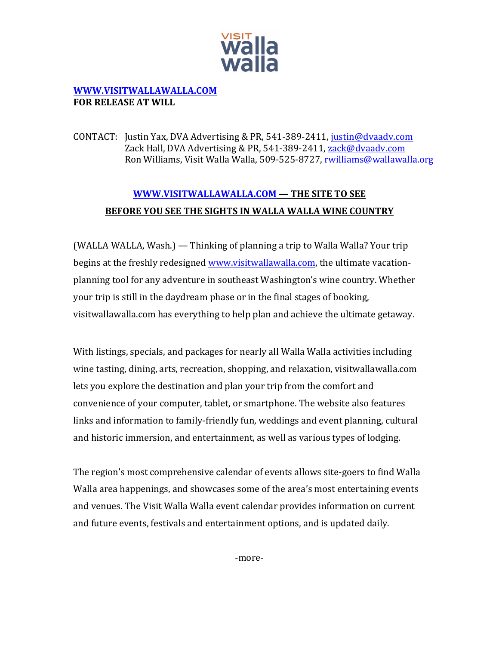

## **WWW.VISITWALLAWALLA.COM FOR RELEASE AT WILL**

CONTACT: Justin Yax, DVA Advertising & PR, 541-389-2411, justin@dvaadv.com Zack Hall, DVA Advertising & PR, 541-389-2411, zack@dvaadv.com Ron Williams, Visit Walla Walla, 509-525-8727, rwilliams@wallawalla.org

## **WWW.VISITWALLAWALLA.COM – THE SITE TO SEE** BEFORE YOU SEE THE SIGHTS IN WALLA WALLA WINE COUNTRY

(WALLA WALLA, Wash.) — Thinking of planning a trip to Walla Walla? Your trip begins at the freshly redesigned www.visitwallawalla.com, the ultimate vacationplanning tool for any adventure in southeast Washington's wine country. Whether your trip is still in the daydream phase or in the final stages of booking, visitwallawalla.com has everything to help plan and achieve the ultimate getaway.

With listings, specials, and packages for nearly all Walla Walla activities including wine tasting, dining, arts, recreation, shopping, and relaxation, visitwallawalla.com lets you explore the destination and plan your trip from the comfort and convenience of your computer, tablet, or smartphone. The website also features links and information to family-friendly fun, weddings and event planning, cultural and historic immersion, and entertainment, as well as various types of lodging.

The region's most comprehensive calendar of events allows site-goers to find Walla Walla area happenings, and showcases some of the area's most entertaining events and venues. The Visit Walla Walla event calendar provides information on current and future events, festivals and entertainment options, and is updated daily.

-more-